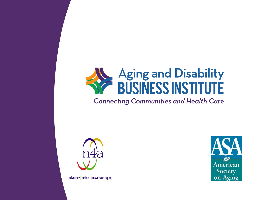# **Aging and Disability<br>BUSINESS INSTITUTE**

#### **Connecting Communities and Health Care**



advocacy | action | answers on aging

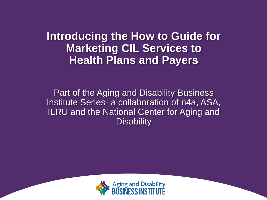**Introducing the How to Guide for Marketing CIL Services to Health Plans and Payers**

Part of the Aging and Disability Business Institute Series- a collaboration of n4a, ASA, ILRU and the National Center for Aging and **Disability** 

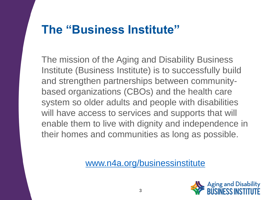#### **The "Business Institute"**

The mission of the Aging and Disability Business Institute (Business Institute) is to successfully build and strengthen partnerships between communitybased organizations (CBOs) and the health care system so older adults and people with disabilities will have access to services and supports that will enable them to live with dignity and independence in their homes and communities as long as possible.

[www.n4a.org/businessinstitute](http://www.n4a.org/businessinstitute)

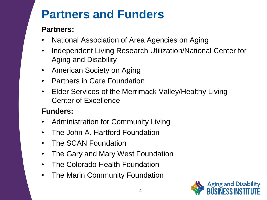#### **Partners and Funders**

#### **Partners:**

- National Association of Area Agencies on Aging
- Independent Living Research Utilization/National Center for Aging and Disability
- American Society on Aging
- Partners in Care Foundation
- Elder Services of the Merrimack Valley/Healthy Living Center of Excellence

#### **Funders:**

- Administration for Community Living
- The John A. Hartford Foundation
- The SCAN Foundation
- The Gary and Mary West Foundation
- The Colorado Health Foundation
- The Marin Community Foundation

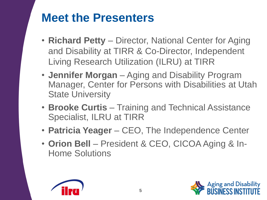#### **Meet the Presenters**

- **Richard Petty**  Director, National Center for Aging and Disability at TIRR & Co-Director, Independent Living Research Utilization (ILRU) at TIRR
- **Jennifer Morgan**  Aging and Disability Program Manager, Center for Persons with Disabilities at Utah State University
- **Brooke Curtis**  Training and Technical Assistance Specialist, ILRU at TIRR
- **Patricia Yeager**  CEO, The Independence Center
- **Orion Bell**  President & CEO, CICOA Aging & In-Home Solutions



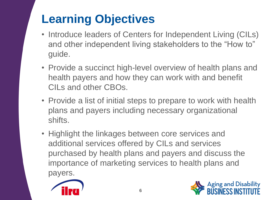## **Learning Objectives**

- Introduce leaders of Centers for Independent Living (CILs) and other independent living stakeholders to the "How to" guide.
- Provide a succinct high-level overview of health plans and health payers and how they can work with and benefit CILs and other CBOs.
- Provide a list of initial steps to prepare to work with health plans and payers including necessary organizational shifts.
- Highlight the linkages between core services and additional services offered by CILs and services purchased by health plans and payers and discuss the importance of marketing services to health plans and payers.



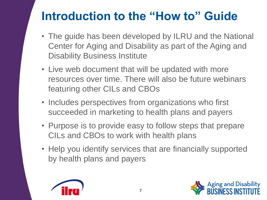#### **Introduction to the "How to" Guide**

- The guide has been developed by ILRU and the National Center for Aging and Disability as part of the Aging and Disability Business Institute
- Live web document that will be updated with more resources over time. There will also be future webinars featuring other CILs and CBOs
- Includes perspectives from organizations who first succeeded in marketing to health plans and payers
- Purpose is to provide easy to follow steps that prepare CILs and CBOs to work with health plans
- Help you identify services that are financially supported by health plans and payers



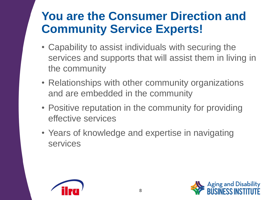#### **You are the Consumer Direction and Community Service Experts!**

- Capability to assist individuals with securing the services and supports that will assist them in living in the community
- Relationships with other community organizations and are embedded in the community
- Positive reputation in the community for providing effective services
- Years of knowledge and expertise in navigating services



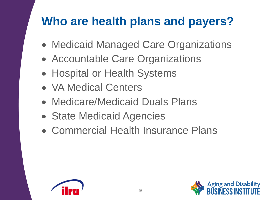#### **Who are health plans and payers?**

- Medicaid Managed Care Organizations
- Accountable Care Organizations
- Hospital or Health Systems
- VA Medical Centers
- Medicare/Medicaid Duals Plans
- State Medicaid Agencies
- Commercial Health Insurance Plans



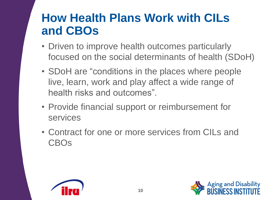#### **How Health Plans Work with CILs and CBOs**

- Driven to improve health outcomes particularly focused on the social determinants of health (SDoH)
- SDoH are "conditions in the places where people live, learn, work and play affect a wide range of health risks and outcomes".
- Provide financial support or reimbursement for services
- Contract for one or more services from CILs and CBOs



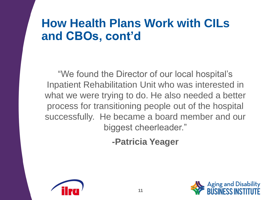#### **How Health Plans Work with CILs and CBOs, cont'd**

"We found the Director of our local hospital's Inpatient Rehabilitation Unit who was interested in what we were trying to do. He also needed a better process for transitioning people out of the hospital successfully. He became a board member and our biggest cheerleader."

**-Patricia Yeager**



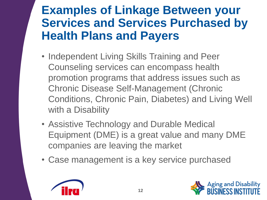#### **Examples of Linkage Between your Services and Services Purchased by Health Plans and Payers**

- Independent Living Skills Training and Peer Counseling services can encompass health promotion programs that address issues such as Chronic Disease Self-Management (Chronic Conditions, Chronic Pain, Diabetes) and Living Well with a Disability
- Assistive Technology and Durable Medical Equipment (DME) is a great value and many DME companies are leaving the market
- Case management is a key service purchased



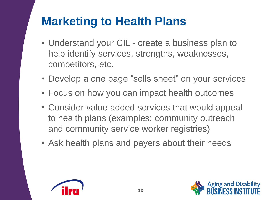#### **Marketing to Health Plans**

- Understand your CIL create a business plan to help identify services, strengths, weaknesses, competitors, etc.
- Develop a one page "sells sheet" on your services
- Focus on how you can impact health outcomes
- Consider value added services that would appeal to health plans (examples: community outreach and community service worker registries)
- Ask health plans and payers about their needs



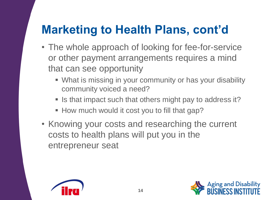#### **Marketing to Health Plans, cont'd**

- The whole approach of looking for fee-for-service or other payment arrangements requires a mind that can see opportunity
	- What is missing in your community or has your disability community voiced a need?
	- Is that impact such that others might pay to address it?
	- **How much would it cost you to fill that gap?**
- Knowing your costs and researching the current costs to health plans will put you in the entrepreneur seat



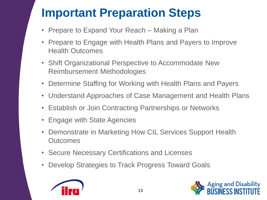## **Important Preparation Steps**

- Prepare to Expand Your Reach Making a Plan
- Prepare to Engage with Health Plans and Payers to Improve Health Outcomes
- Shift Organizational Perspective to Accommodate New Reimbursement Methodologies
- Determine Staffing for Working with Health Plans and Payers
- Understand Approaches of Case Management and Health Plans
- Establish or Join Contracting Partnerships or Networks
- Engage with State Agencies
- Demonstrate in Marketing How CIL Services Support Health **Outcomes**
- Secure Necessary Certifications and Licenses
- Develop Strategies to Track Progress Toward Goals



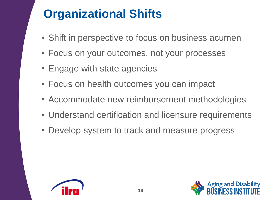### **Organizational Shifts**

- Shift in perspective to focus on business acumen
- Focus on your outcomes, not your processes
- Engage with state agencies
- Focus on health outcomes you can impact
- Accommodate new reimbursement methodologies
- Understand certification and licensure requirements
- Develop system to track and measure progress



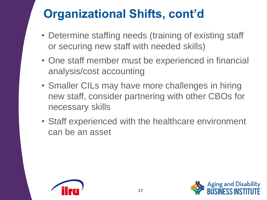## **Organizational Shifts, cont'd**

- Determine staffing needs (training of existing staff or securing new staff with needed skills)
- One staff member must be experienced in financial analysis/cost accounting
- Smaller CILs may have more challenges in hiring new staff, consider partnering with other CBOs for necessary skills
- Staff experienced with the healthcare environment can be an asset



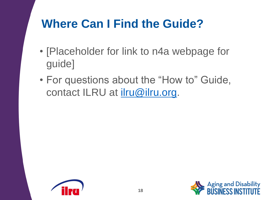#### **Where Can I Find the Guide?**

- [Placeholder for link to n4a webpage for guide]
- For questions about the "How to" Guide, contact ILRU at *[ilru@ilru.org.](mailto:ilru@ilru.org)*



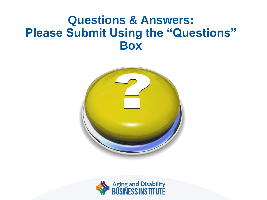#### **Questions & Answers: Please Submit Using the "Questions" Box**



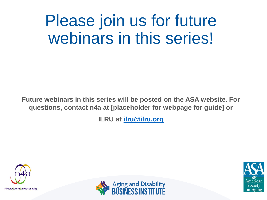# Please join us for future webinars in this series!

**Future webinars in this series will be posted on the ASA website. For questions, contact n4a at [placeholder for webpage for guide] or** 

**ILRU at [ilru@ilru.org](mailto:ilru@ilru.org)**